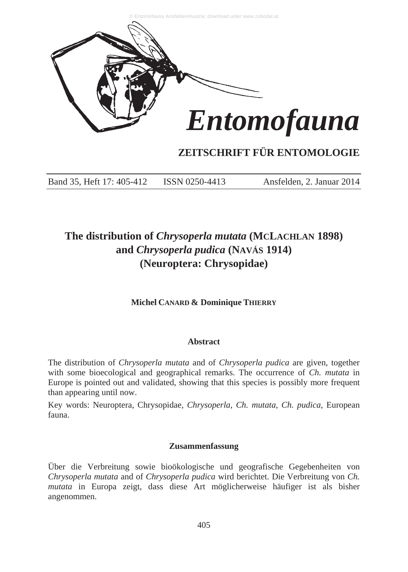

# **ZEITSCHRIFT FÜR ENTOMOLOGIE**

Band 35, Heft 17: 405-412 ISSN 0250-4413 Ansfelden, 2. Januar 2014

# **The distribution of** *Chrysoperla mutata* **(MCLACHLAN 1898) and** *Chrysoperla pudica* **(NAVÁS 1914) (Neuroptera: Chrysopidae)**

**Michel CANARD & Dominique THIERRY**

## **Abstract**

The distribution of *Chrysoperla mutata* and of *Chrysoperla pudica* are given, together with some bioecological and geographical remarks. The occurrence of *Ch. mutata* in Europe is pointed out and validated, showing that this species is possibly more frequent than appearing until now.

Key words: Neuroptera, Chrysopidae, *Chrysoperla*, *Ch. mutata*, *Ch. pudica*, European fauna.

## **Zusammenfassung**

Über die Verbreitung sowie bioökologische und geografische Gegebenheiten von *Chrysoperla mutata* and of *Chrysoperla pudica* wird berichtet. Die Verbreitung von *Ch. mutata* in Europa zeigt, dass diese Art möglicherweise häufiger ist als bisher angenommen.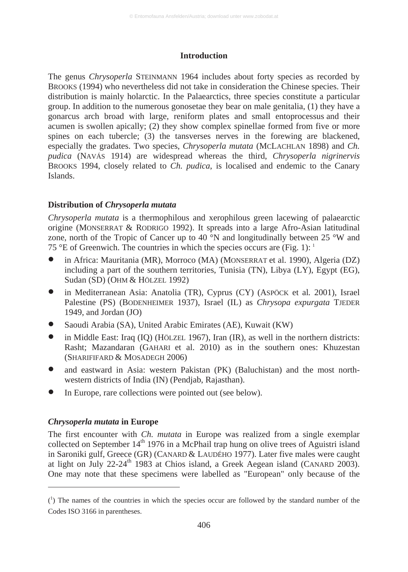## **Introduction**

The genus *Chrysoperla* STEINMANN 1964 includes about forty species as recorded by BROOKS (1994) who nevertheless did not take in consideration the Chinese species. Their distribution is mainly holarctic. In the Palaearctics, three species constitute a particular group. In addition to the numerous gonosetae they bear on male genitalia, (1) they have a gonarcus arch broad with large, reniform plates and small entoprocessus and their acumen is swollen apically; (2) they show complex spinellae formed from five or more spines on each tubercle; (3) the tansverses nerves in the forewing are blackened, especially the gradates. Two species, *Chrysoperla mutata* (MCLACHLAN 1898) and *Ch. pudica* (NAVÁS 1914) are widespread whereas the third, *Chrysoperla nigrinervis* BROOKS 1994, closely related to *Ch. pudica*, is localised and endemic to the Canary Islands.

# **Distribution of** *Chrysoperla mutata*

*Chrysoperla mutata* is a thermophilous and xerophilous green lacewing of palaearctic origine (MONSERRAT & RODRIGO 1992). It spreads into a large Afro-Asian latitudinal zone, north of the Tropic of Cancer up to 40  $\overline{N}$  and longitudinally between 25 °W and 75 °E of Greenwich. The countries in which the species occurs are (Fig. 1):  $\frac{1}{1}$ 

- in Africa: Mauritania (MR), Morroco (MA) (MONSERRAT et al. 1990), Algeria (DZ) including a part of the southern territories, Tunisia (TN), Libya (LY), Egypt (EG), Sudan (SD) (OHM & HÖLZEL 1992)
- in Mediterranean Asia: Anatolia (TR), Cyprus (CY) (ASPÖCK et al*.* 2001), Israel Palestine (PS) (BODENHEIMER 1937), Israel (IL) as *Chrysopa expurgata* TJEDER 1949, and Jordan (JO)
- Saoudi Arabia (SA), United Arabic Emirates (AE), Kuwait (KW)
- in Middle East: Iraq (IQ) (HÖLZEL 1967), Iran (IR), as well in the northern districts: Rasht; Mazandaran (GAHARI et al. 2010) as in the southern ones: Khuzestan (SHARIFIFARD & MOSADEGH 2006)
- and eastward in Asia: western Pakistan (PK) (Baluchistan) and the most northwestern districts of India (IN) (Pendjab, Rajasthan).
- In Europe, rare collections were pointed out (see below).

## *Chrysoperla mutata* **in Europe**

 $\overline{a}$ 

The first encounter with *Ch. mutata* in Europe was realized from a single exemplar collected on September  $14<sup>th</sup> 1976$  in a McPhail trap hung on olive trees of Aguistri island in Saroniki gulf, Greece (GR) (CANARD & LAUDÉHO 1977). Later five males were caught at light on July 22-24<sup>th</sup> 1983 at Chios island, a Greek Aegean island (CANARD 2003). One may note that these specimens were labelled as "European" only because of the

 $(1)$  The names of the countries in which the species occur are followed by the standard number of the Codes ISO 3166 in parentheses.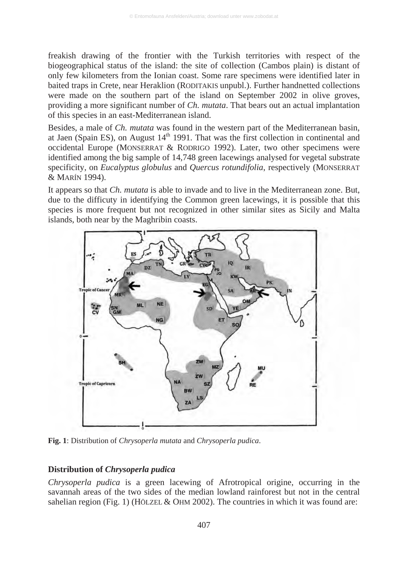freakish drawing of the frontier with the Turkish territories with respect of the biogeographical status of the island: the site of collection (Cambos plain) is distant of only few kilometers from the Ionian coast. Some rare specimens were identified later in baited traps in Crete, near Heraklion (RODITAKIS unpubl.). Further handnetted collections were made on the southern part of the island on September 2002 in olive groves. providing a more significant number of *Ch. mutata*. That bears out an actual implantation of this species in an east-Mediterranean island.

Besides, a male of *Ch. mutata* was found in the western part of the Mediterranean basin, at Jaen (Spain ES), on August  $14<sup>th</sup>$  1991. That was the first collection in continental and occidental Europe (MONSERRAT & RODRIGO 1992). Later, two other specimens were identified among the big sample of 14,748 green lacewings analysed for vegetal substrate specificity, on *Eucalyptus globulus* and *Quercus rotundifolia*, respectively (MONSERRAT & MARÍN 1994).

It appears so that *Ch. mutata* is able to invade and to live in the Mediterranean zone. But, due to the difficuty in identifying the Common green lacewings, it is possible that this species is more frequent but not recognized in other similar sites as Sicily and Malta islands, both near by the Maghribin coasts.



**Fig. 1**: Distribution of *Chrysoperla mutata* and *Chrysoperla pudica*.

#### **Distribution of** *Chrysoperla pudica*

*Chrysoperla pudica* is a green lacewing of Afrotropical origine, occurring in the savannah areas of the two sides of the median lowland rainforest but not in the central sahelian region (Fig. 1) (HÖLZEL & OHM 2002). The countries in which it was found are: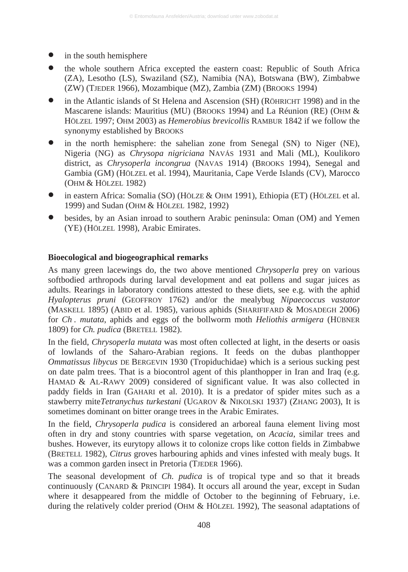- in the south hemisphere
- the whole southern Africa excepted the eastern coast: Republic of South Africa (ZA), Lesotho (LS), Swaziland (SZ), Namibia (NA), Botswana (BW), Zimbabwe (ZW) (TJEDER 1966), Mozambique (MZ), Zambia (ZM) (BROOKS 1994)
- in the Atlantic islands of St Helena and Ascension (SH) (RÖHRICHT 1998) and in the Mascarene islands: Mauritius (MU) (BROOKS 1994) and La Réunion (RE) (OHM & HÖLZEL 1997; OHM 2003) as *Hemerobius brevicollis* RAMBUR 1842 if we follow the synonymy established by BROOKS
- in the north hemisphere: the sahelian zone from Senegal (SN) to Niger (NE), Nigeria (NG) as *Chrysopa nigriciana* NAVÁS 1931 and Mali (ML), Koulikoro district, as *Chrysoperla incongrua* (NAVAS 1914) (BROOKS 1994), Senegal and Gambia (GM) (HÖLZEL et al. 1994), Mauritania, Cape Verde Islands (CV), Marocco (OHM & HÖLZEL 1982)
- in eastern Africa: Somalia (SO) (HÖLZE & OHM 1991), Ethiopia (ET) (HÖLZEL et al. 1999) and Sudan (OHM & HÖLZEL 1982, 1992)
- besides, by an Asian inroad to southern Arabic peninsula: Oman (OM) and Yemen (YE) (HÖLZEL 1998), Arabic Emirates.

#### **Bioecological and biogeographical remarks**

As many green lacewings do, the two above mentioned *Chrysoperla* prey on various softbodied arthropods during larval development and eat pollens and sugar juices as adults. Rearings in laboratory conditions attested to these diets, see e.g. with the aphid *Hyalopterus pruni* (GEOFFROY 1762) and/or the mealybug *Nipaecoccus vastator* (MASKELL 1895) (ABID et al. 1985), various aphids (SHARIFIFARD & MOSADEGH 2006) for *Ch . mutata*, aphids and eggs of the bollworm moth *Heliothis armigera* (HÜBNER 1809) for *Ch. pudica* (BRETELL 1982).

In the field, *Chrysoperla mutata* was most often collected at light, in the deserts or oasis of lowlands of the Saharo-Arabian regions. It feeds on the dubas planthopper *Ommatissus libycus* DE BERGEVIN 1930 (Tropiduchidae) which is a serious sucking pest on date palm trees. That is a biocontrol agent of this planthopper in Iran and Iraq (e.g. HAMAD & AL-RAWY 2009) considered of significant value. It was also collected in paddy fields in Iran (GAHARI et al. 2010). It is a predator of spider mites such as a stawberry mite*Tetranychus turkestani* (UGAROV & NIKOLSKI 1937) (ZHANG 2003), It is sometimes dominant on bitter orange trees in the Arabic Emirates.

In the field, *Chrysoperla pudica* is considered an arboreal fauna element living most often in dry and stony countries with sparse vegetation, on *Acacia*, similar trees and bushes. However, its eurytopy allows it to colonize crops like cotton fields in Zimbabwe (BRETELL 1982), *Citrus* groves harbouring aphids and vines infested with mealy bugs. It was a common garden insect in Pretoria (TJEDER 1966).

The seasonal development of *Ch. pudica* is of tropical type and so that it breads continuously (CANARD & PRINCIPI 1984). It occurs all around the year, except in Sudan where it desappeared from the middle of October to the beginning of February, i.e. during the relatively colder preriod (OHM & HÖLZEL 1992), The seasonal adaptations of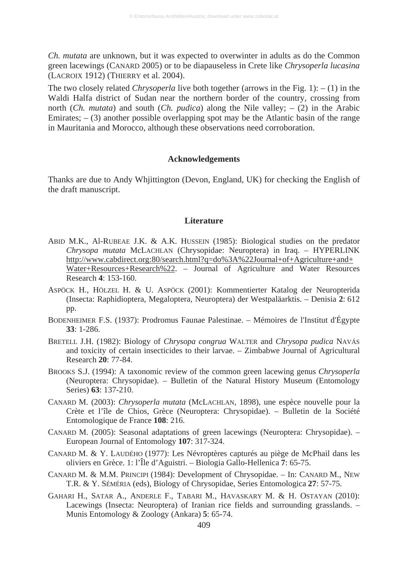*Ch. mutata* are unknown, but it was expected to overwinter in adults as do the Common green lacewings (CANARD 2005) or to be diapauseless in Crete like *Chrysoperla lucasina* (LACROIX 1912) (THIERRY et al. 2004).

The two closely related *Chrysoperla* live both together (arrows in the Fig. 1):  $- (1)$  in the Waldi Halfa district of Sudan near the northern border of the country, crossing from north (*Ch. mutata*) and south (*Ch. pudica*) along the Nile valley; – (2) in the Arabic Emirates;  $-$  (3) another possible overlapping spot may be the Atlantic basin of the range in Mauritania and Morocco, although these observations need corroboration.

#### **Acknowledgements**

Thanks are due to Andy Whjittington (Devon, England, UK) for checking the English of the draft manuscript.

#### **Literature**

- ABID M.K., Al-RUBEAE J.K. & A.K. HUSSEIN (1985): Biological studies on the predator *Chrysopa mutata* McLACHLAN (Chrysopidae: Neuroptera) in Iraq. – HYPERLINK http://www.cabdirect.org:80/search.html?q=do%3A%22Journal+of+Agriculture+and+ Water+Resources+Research%22. – Journal of Agriculture and Water Resources Research **4**: 153-160.
- ASPÖCK H., HÖLZEL H. & U. ASPÖCK (2001): Kommentierter Katalog der Neuropterida (Insecta: Raphidioptera, Megaloptera, Neuroptera) der Westpaläarktis. – Denisia **2**: 612 pp.
- BODENHEIMER F.S. (1937): Prodromus Faunae Palestinae. Mémoires de l'Institut d'Égypte **33**: 1-286.
- BRETELL J.H. (1982): Biology of *Chrysopa congrua* WALTER and *Chrysopa pudica* NAVÁS and toxicity of certain insecticides to their larvae. – Zimbabwe Journal of Agricultural Research **20**: 77-84.
- BROOKS S.J. (1994): A taxonomic review of the common green lacewing genus *Chrysoperla* (Neuroptera: Chrysopidae). – Bulletin of the Natural History Museum (Entomology Series) **63**: 137-210.
- CANARD M. (2003): *Chrysoperla mutata* (McLACHLAN, 1898), une espèce nouvelle pour la Crète et l'île de Chios, Grèce (Neuroptera: Chrysopidae). – Bulletin de la Société Entomologique de France **108**: 216.
- CANARD M. (2005): Seasonal adaptations of green lacewings (Neuroptera: Chrysopidae). European Journal of Entomology **107**: 317-324.
- CANARD M. & Y. LAUDÉHO (1977): Les Névroptères capturés au piège de McPhail dans les oliviers en Grèce. 1: l'Île d'Aguistri. – Biologia Gallo-Hellenica **7**: 65-75.
- CANARD M. & M.M. PRINCIPI (1984): Development of Chrysopidae. In: CANARD M., NEW T.R. & Y. SÉMÉRIA (eds), Biology of Chrysopidae, Series Entomologica **27**: 57-75.
- GAHARI H., SATAR A., ANDERLE F., TABARI M., HAVASKARY M. & H. OSTAYAN (2010): Lacewings (Insecta: Neuroptera) of Iranian rice fields and surrounding grasslands. – Munis Entomology & Zoology (Ankara) **5**: 65-74.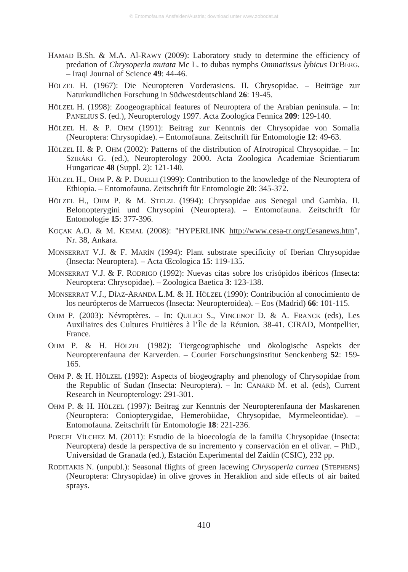- HAMAD B.Sh. & M.A. Al-RAWY (2009): Laboratory study to determine the efficiency of predation of *Chrysoperla mutata* Mc L. to dubas nymphs *Ommatissus lybicus* DEBERG. – Iraqi Journal of Science **49**: 44-46.
- HÖLZEL H. (1967): Die Neuropteren Vorderasiens. II. Chrysopidae. Beiträge zur Naturkundlichen Forschung in Südwestdeutschland **26**: 19-45.
- HÖLZEL H. (1998): Zoogeographical features of Neuroptera of the Arabian peninsula. In: PANELIUS S. (ed.), Neuropterology 1997. Acta Zoologica Fennica 209: 129-140.
- HÖLZEL H. & P. OHM (1991): Beitrag zur Kenntnis der Chrysopidae von Somalia (Neuroptera: Chrysopidae). – Entomofauna. Zeitschrift für Entomologie **12**: 49-63.
- HÖLZEL H. & P. OHM (2002): Patterns of the distribution of Afrotropical Chrysopidae. In: SZIRÁKI G. (ed.), Neuropterology 2000. Acta Zoologica Academiae Scientiarum Hungaricae **48** (Suppl. 2): 121-140.
- HÖLZEL H., OHM P. & P. DUELLI (1999): Contribution to the knowledge of the Neuroptera of Ethiopia. – Entomofauna. Zeitschrift für Entomologie **20**: 345-372.
- HÖLZEL H., OHM P. & M. STELZL (1994): Chrysopidae aus Senegal und Gambia. II. Belonopterygini und Chrysopini (Neuroptera). – Entomofauna. Zeitschrift für Entomologie **15**: 377-396.
- KOÇAK A.O. & M. KEMAL (2008): "HYPERLINK http://www.cesa-tr.org/Cesanews.htm", Nr. 38, Ankara.
- MONSERRAT V.J. & F. MARÍN (1994): Plant substrate specificity of Iberian Chrysopidae (Insecta: Neuroptera). – Acta Œcologica **15**: 119-135.
- MONSERRAT V.J. & F. RODRIGO (1992): Nuevas citas sobre los crisópidos ibéricos (Insecta: Neuroptera: Chrysopidae). – Zoologica Baetica **3**: 123-138.
- MONSERRAT V.J., DÍAZ-ARANDA L.M. & H. HÖLZEL (1990): Contribución al conocimiento de los neurópteros de Marruecos (Insecta: Neuropteroidea). – Eos (Madrid) **66**: 101-115.
- OHM P. (2003): Névroptères. In: QUILICI S., VINCENOT D. & A. FRANCK (eds), Les Auxiliaires des Cultures Fruitières à l'Île de la Réunion*.* 38-41. CIRAD, Montpellier, France.
- OHM P. & H. HÖLZEL (1982): Tiergeographische und ökologische Aspekts der Neuropterenfauna der Karverden. – Courier Forschungsinstitut Senckenberg **52**: 159- 165.
- OHM P. & H. HÖLZEL (1992): Aspects of biogeography and phenology of Chrysopidae from the Republic of Sudan (Insecta: Neuroptera). – In: CANARD M. et al. (eds), Current Research in Neuropterology: 291-301.
- OHM P. & H. HÖLZEL (1997): Beitrag zur Kenntnis der Neuropterenfauna der Maskarenen (Neuroptera: Coniopterygidae, Hemerobiidae, Chrysopidae, Myrmeleontidae). – Entomofauna. Zeitschrift für Entomologie **18**: 221-236.
- PORCEL VÍLCHEZ M. (2011): Estudio de la bioecología de la familia Chrysopidae (Insecta: Neuroptera) desde la perspectiva de su incremento y conservación en el olivar. – PhD., Universidad de Granada (ed.), Estación Experimental del Zaidín (CSIC), 232 pp.
- RODITAKIS N. (unpubl.): Seasonal flights of green lacewing *Chrysoperla carnea* (STEPHENS) (Neuroptera: Chrysopidae) in olive groves in Heraklion and side effects of air baited sprays.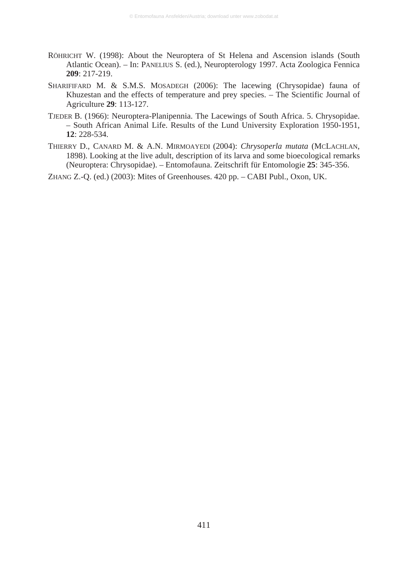- RÖHRICHT W. (1998): About the Neuroptera of St Helena and Ascension islands (South Atlantic Ocean). – In: PANELIUS S. (ed.), Neuropterology 1997. Acta Zoologica Fennica **209**: 217-219.
- SHARIFIFARD M. & S.M.S. MOSADEGH (2006): The lacewing (Chrysopidae) fauna of Khuzestan and the effects of temperature and prey species. – The Scientific Journal of Agriculture **29**: 113-127.
- TJEDER B. (1966): Neuroptera-Planipennia. The Lacewings of South Africa. 5. Chrysopidae. – South African Animal Life. Results of the Lund University Exploration 1950-1951, **12**: 228-534.
- THIERRY D., CANARD M. & A.N. MIRMOAYEDI (2004): *Chrysoperla mutata* (MCLACHLAN, 1898). Looking at the live adult, description of its larva and some bioecological remarks (Neuroptera: Chrysopidae). – Entomofauna. Zeitschrift für Entomologie **25**: 345-356.

ZHANG Z.-Q. (ed.) (2003): Mites of Greenhouses. 420 pp. – CABI Publ., Oxon, UK.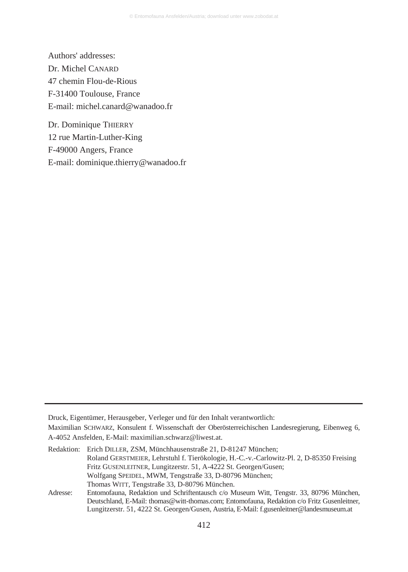Authors' addresses: Dr. Michel CANARD 47 chemin Flou-de-Rious F-31400 Toulouse, France E-mail: michel.canard@wanadoo.fr

Dr. Dominique THIERRY 12 rue Martin-Luther-King F-49000 Angers, France E-mail: dominique.thierry@wanadoo.fr

Adresse: Entomofauna, Redaktion und Schriftentausch c/o Museum Witt, Tengstr. 33, 80796 München, Deutschland, E-Mail: thomas@witt-thomas.com; Entomofauna, Redaktion c/o Fritz Gusenleitner, Lungitzerstr. 51, 4222 St. Georgen/Gusen, Austria, E-Mail: f.gusenleitner@landesmuseum.at

Druck, Eigentümer, Herausgeber, Verleger und für den Inhalt verantwortlich:

Maximilian SCHWARZ, Konsulent f. Wissenschaft der Oberösterreichischen Landesregierung, Eibenweg 6, A-4052 Ansfelden, E-Mail: maximilian.schwarz@liwest.at.

Redaktion: Erich DILLER, ZSM, Münchhausenstraße 21, D-81247 München; Roland GERSTMEIER, Lehrstuhl f. Tierökologie, H.-C.-v.-Carlowitz-Pl. 2, D-85350 Freising Fritz GUSENLEITNER, Lungitzerstr. 51, A-4222 St. Georgen/Gusen; Wolfgang SPEIDEL, MWM, Tengstraße 33, D-80796 München; Thomas WITT, Tengstraße 33, D-80796 München.